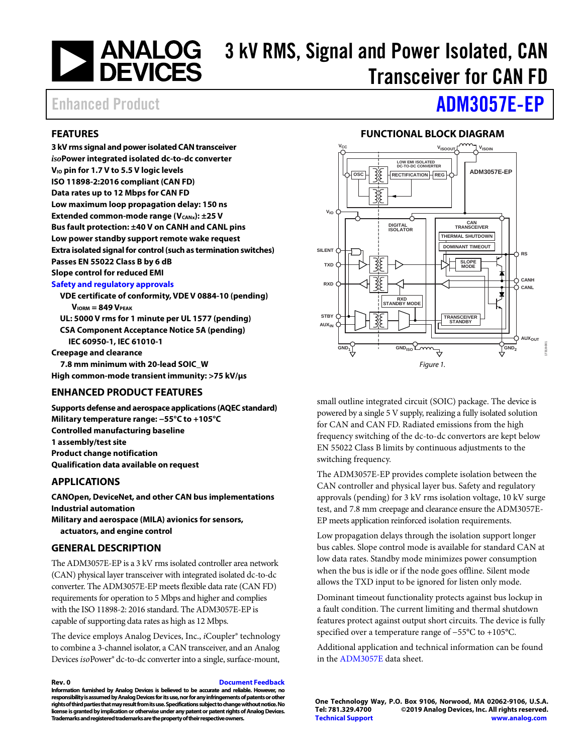# **ANALOG** 3 kV RMS, Signal and Power Isolated, CAN<br>DEVICES Transposiver for CAN ED Transceiver for CAN FD

### <span id="page-0-0"></span>**FEATURES**

**3 kVrms signal and power isolated CAN transceiver** *iso***Power integrated isolated dc-to-dc converter VIO pin for 1.7 V to 5.5 V logic levels ISO 11898-2:2016 compliant (CAN FD) Data rates up to 12 Mbps for CAN FD Low maximum loop propagation delay: 150 ns Extended common-mode range (V<sub>CANx</sub>): ±25 V Bus fault protection: ±40 V on CANH and CANL pins Low power standby support remote wake request Extra isolated signal for control (such as termination switches) Passes EN 55022 Class B by 6 dB Slope control for reduced EMI**

### **[Safety and regulatory approvals](https://www.analog.com/icouplersafety?doc=ADM3057E-ep.pdf)**

**VDE certificate of conformity, VDE V 0884-10 (pending) VIORM = 849 VPEAK UL: 5000 V rms for 1 minute per UL 1577 (pending) CSA Component Acceptance Notice 5A (pending) IEC 60950-1, IEC 61010-1 Creepage and clearance**

**7.8 mm minimum with 20-lead SOIC\_W High common-mode transient immunity: >75 kV/µs**

### <span id="page-0-1"></span>**ENHANCED PRODUCT FEATURES**

**Supports defense and aerospace applications (AQEC standard) Military temperature range: −55°C to +105°C Controlled manufacturing baseline 1 assembly/test site Product change notification Qualification data available on request**

### <span id="page-0-2"></span>**APPLICATIONS**

**CANOpen, DeviceNet, and other CAN bus implementations Industrial automation Military and aerospace (MILA) avionics for sensors,** 

**actuators, and engine control**

### <span id="page-0-3"></span>**GENERAL DESCRIPTION**

The ADM3057E-EP is a 3 kV rms isolated controller area network (CAN) physical layer transceiver with integrated isolated dc-to-dc converter. The ADM3057E-EP meets flexible data rate (CAN FD) requirements for operation to 5 Mbps and higher and complies with the ISO 11898-2: 2016 standard. The ADM3057E-EP is capable of supporting data rates as high as 12 Mbps.

The device employs Analog Devices, Inc., *i*Coupler® technology to combine a 3-channel isolator, a CAN transceiver, and an Analog Devices *iso*Power® dc-to-dc converter into a single, surface-mount,

### **Rev. 0 [Document Feedback](https://form.analog.com/Form_Pages/feedback/documentfeedback.aspx?doc=ADM3057E-EP.pdf&product=ADM3057E-EP&rev=0)**

**Information furnished by Analog Devices is believed to be accurate and reliable. However, no responsibility is assumed by Analog Devices for its use, nor for any infringements of patents or other rights of third parties that may result from its use. Specifications subject to change without notice. No license is granted by implication or otherwise under any patent or patent rights of Analog Devices. Trademarks and registered trademarks are the property of their respective owners.**

## Enhanced Product **[ADM3057E-EP](https://www.analog.com/ADM3057E?doc=ADM3057E-EP.pdf)**

### **FUNCTIONAL BLOCK DIAGRAM**

<span id="page-0-4"></span>

small outline integrated circuit (SOIC) package. The device is powered by a single 5 V supply, realizing a fully isolated solution for CAN and CAN FD. Radiated emissions from the high frequency switching of the dc-to-dc convertors are kept below EN 55022 Class B limits by continuous adjustments to the switching frequency.

The ADM3057E-EP provides complete isolation between the CAN controller and physical layer bus. Safety and regulatory approvals (pending) for 3 kV rms isolation voltage, 10 kV surge test, and 7.8 mm creepage and clearance ensure the ADM3057E-EP meets application reinforced isolation requirements.

Low propagation delays through the isolation support longer bus cables. Slope control mode is available for standard CAN at low data rates. Standby mode minimizes power consumption when the bus is idle or if the node goes offline. Silent mode allows the TXD input to be ignored for listen only mode.

Dominant timeout functionality protects against bus lockup in a fault condition. The current limiting and thermal shutdown features protect against output short circuits. The device is fully specified over a temperature range of −55°C to +105°C.

Additional application and technical information can be found in the [ADM3057E](https://www.analog.com/ADM3057E?doc=ADM3057E-EP.pdf) data sheet.

**One Technology Way, P.O. Box 9106, Norwood, MA 02062-9106, U.S.A. Tel: 781.329.4700 ©2019 Analog Devices, Inc. All rights reserved. [Technical Support](http://www.analog.com/en/content/technical_support_page/fca.html) [www.analog.com](http://www.analog.com/)**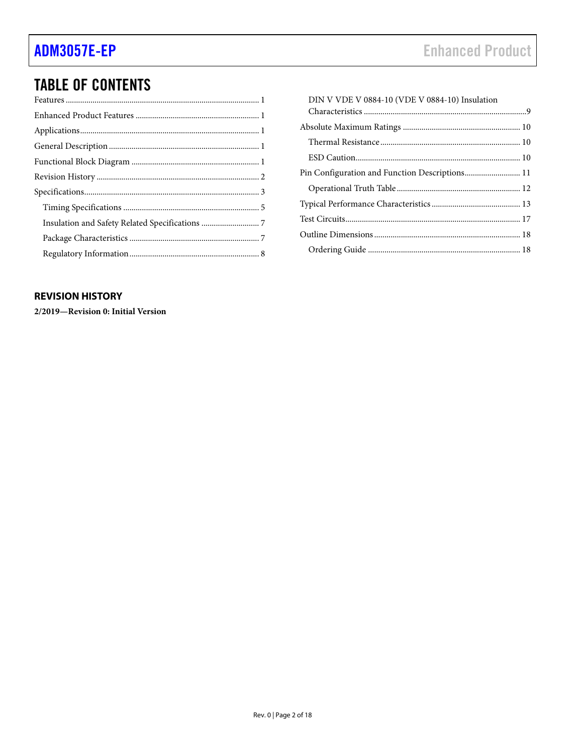## **TABLE OF CONTENTS**

| DIN V VDE V 0884-10 (VDE V 0884-10) Insulation |  |
|------------------------------------------------|--|
|                                                |  |
|                                                |  |
|                                                |  |
|                                                |  |
|                                                |  |
|                                                |  |
|                                                |  |
|                                                |  |
|                                                |  |
|                                                |  |
|                                                |  |

### <span id="page-1-0"></span>**REVISION HISTORY**

2/2019-Revision 0: Initial Version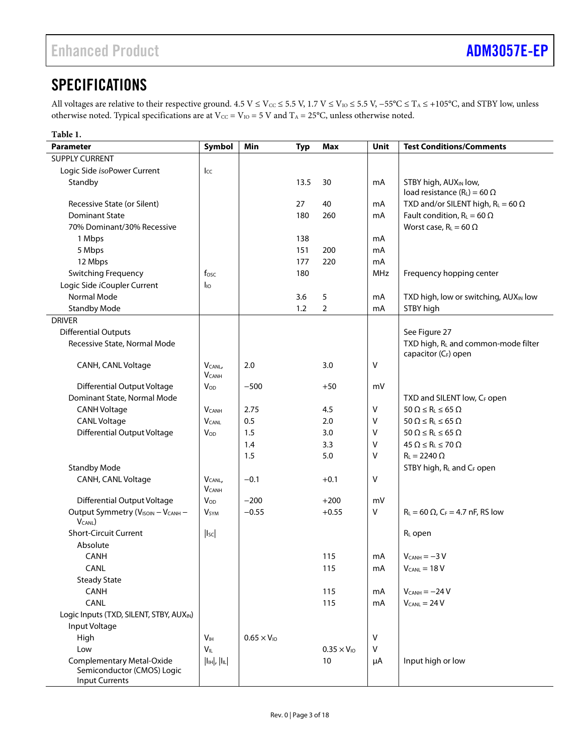## <span id="page-2-0"></span>**SPECIFICATIONS**

All voltages are relative to their respective ground.  $4.5$  V ≤ V<sub>cc</sub> ≤ 5.5 V, 1.7 V ≤ V<sub>io</sub> ≤ 5.5 V, -55°C ≤ T<sub>A</sub> ≤ +105°C, and STBY low, unless otherwise noted. Typical specifications are at Vcc = V<sub>IO</sub> = 5 V and T<sub>A</sub> = 25°C, unless otherwise noted.

| Table 1.                                |                                           |                      |            |                      |         |                                                     |
|-----------------------------------------|-------------------------------------------|----------------------|------------|----------------------|---------|-----------------------------------------------------|
| <b>Parameter</b>                        | Symbol                                    | Min                  | <b>Typ</b> | <b>Max</b>           | Unit    | <b>Test Conditions/Comments</b>                     |
| <b>SUPPLY CURRENT</b>                   |                                           |                      |            |                      |         |                                                     |
| Logic Side isoPower Current             | $_{\text{L}\text{C}}$                     |                      |            |                      |         |                                                     |
| Standby                                 |                                           |                      | 13.5       | 30                   | mA      | STBY high, AUX <sub>IN</sub> low,                   |
|                                         |                                           |                      |            |                      |         | load resistance ( $R_L$ ) = 60 $\Omega$             |
| Recessive State (or Silent)             |                                           |                      | 27         | 40                   | mA      | TXD and/or SILENT high, $R_L = 60 \Omega$           |
| <b>Dominant State</b>                   |                                           |                      | 180        | 260                  | mA      | Fault condition, $R_L = 60 \Omega$                  |
| 70% Dominant/30% Recessive              |                                           |                      |            |                      |         | Worst case, $R_L = 60 \Omega$                       |
| 1 Mbps                                  |                                           |                      | 138        |                      | mA      |                                                     |
| 5 Mbps                                  |                                           |                      | 151        | 200                  | mA      |                                                     |
| 12 Mbps                                 |                                           |                      | 177        | 220                  | mA      |                                                     |
| Switching Frequency                     | fosc                                      |                      | 180        |                      | MHz     | Frequency hopping center                            |
| Logic Side iCoupler Current             | $I_{10}$                                  |                      |            |                      |         |                                                     |
| Normal Mode                             |                                           |                      | 3.6        | 5                    | mA      | TXD high, low or switching, AUX <sub>IN</sub> low   |
| <b>Standby Mode</b>                     |                                           |                      | 1.2        | 2                    | mA      | STBY high                                           |
| <b>DRIVER</b>                           |                                           |                      |            |                      |         |                                                     |
| <b>Differential Outputs</b>             |                                           |                      |            |                      |         | See Figure 27                                       |
| Recessive State, Normal Mode            |                                           |                      |            |                      |         | TXD high, RL and common-mode filter                 |
|                                         |                                           |                      |            |                      |         | capacitor (CF) open                                 |
| CANH, CANL Voltage                      | V <sub>CANL</sub>                         | 2.0                  |            | 3.0                  | V       |                                                     |
|                                         | $V_{CANH}$                                |                      |            |                      |         |                                                     |
| <b>Differential Output Voltage</b>      | <b>Vop</b>                                | $-500$               |            | $+50$                | mV      |                                                     |
| Dominant State, Normal Mode             |                                           |                      |            |                      |         | TXD and SILENT low, CF open                         |
| <b>CANH Voltage</b>                     | <b>V</b> CANH                             | 2.75                 |            | 4.5                  | V       | $50 \Omega \le R_L \le 65 \Omega$                   |
| <b>CANL Voltage</b>                     | <b>V</b> CANL                             | 0.5                  |            | 2.0                  | ۷       | $50 \Omega \le R_L \le 65 \Omega$                   |
| <b>Differential Output Voltage</b>      | $V_{OD}$                                  | 1.5                  |            | 3.0                  | ۷       | $50 \Omega \le R_L \le 65 \Omega$                   |
|                                         |                                           | 1.4                  |            | 3.3                  | V       | $45 \Omega \le R_L \le 70 \Omega$                   |
|                                         |                                           | 1.5                  |            | 5.0                  | V       | $R_L = 2240 \Omega$                                 |
| <b>Standby Mode</b>                     |                                           |                      |            |                      |         | STBY high, RL and CF open                           |
| CANH, CANL Voltage                      | $V_{CANL}$                                | $-0.1$               |            | $+0.1$               | V       |                                                     |
|                                         | <b>V</b> CANH                             |                      |            |                      |         |                                                     |
| <b>Differential Output Voltage</b>      | <b>Vop</b>                                | $-200$               |            | $+200$               | mV      |                                                     |
| Output Symmetry (VISOIN - VCANH -       | <b>V</b> <sub>SYM</sub>                   | $-0.55$              |            | $+0.55$              | $\vee$  | $R_L = 60 \Omega$ , C <sub>F</sub> = 4.7 nF, RS low |
| V <sub>CANL</sub> )                     |                                           |                      |            |                      |         |                                                     |
| Short-Circuit Current                   | $\vert$ <sub>Isc</sub> $\vert$            |                      |            |                      |         | RL open                                             |
| Absolute                                |                                           |                      |            |                      |         |                                                     |
| CANH                                    |                                           |                      |            | 115                  | mA      | $V_{CANH} = -3 V$                                   |
| CANL                                    |                                           |                      |            | 115                  | mA      | $V_{CANL} = 18 V$                                   |
| <b>Steady State</b>                     |                                           |                      |            |                      |         |                                                     |
| <b>CANH</b>                             |                                           |                      |            | 115                  | mA      | $V_{CANH} = -24 V$                                  |
| CANL                                    |                                           |                      |            | 115                  | mA      | $V_{CANL} = 24 V$                                   |
| Logic Inputs (TXD, SILENT, STBY, AUXIN) |                                           |                      |            |                      |         |                                                     |
| Input Voltage                           |                                           |                      |            |                      |         |                                                     |
| High                                    | V <sub>IH</sub>                           | $0.65 \times V_{10}$ |            |                      | V       |                                                     |
| Low                                     | $V_{IL}$                                  |                      |            | $0.35 \times V_{10}$ | $\sf V$ |                                                     |
| Complementary Metal-Oxide               | $\vert I_{IH}\vert$ , $\vert I_{IL}\vert$ |                      |            | 10                   | μA      | Input high or low                                   |
| Semiconductor (CMOS) Logic              |                                           |                      |            |                      |         |                                                     |
| <b>Input Currents</b>                   |                                           |                      |            |                      |         |                                                     |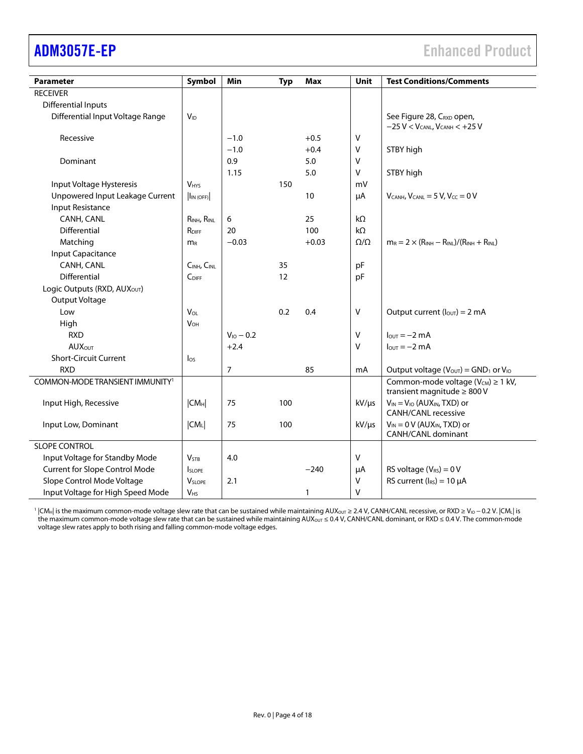| <b>Parameter</b>                            | Symbol                    | Min            | <b>Typ</b> | <b>Max</b> | Unit            | <b>Test Conditions/Comments</b>                                                   |
|---------------------------------------------|---------------------------|----------------|------------|------------|-----------------|-----------------------------------------------------------------------------------|
| <b>RECEIVER</b>                             |                           |                |            |            |                 |                                                                                   |
| <b>Differential Inputs</b>                  |                           |                |            |            |                 |                                                                                   |
| Differential Input Voltage Range            | <b>V<sub>ID</sub></b>     |                |            |            |                 | See Figure 28, CRXD open,                                                         |
|                                             |                           |                |            |            |                 | $-25$ V < V <sub>CANL</sub> , V <sub>CANH</sub> < $+25$ V                         |
| Recessive                                   |                           | $-1.0$         |            | $+0.5$     | V               |                                                                                   |
|                                             |                           | $-1.0$         |            | $+0.4$     | V               | STBY high                                                                         |
| Dominant                                    |                           | 0.9            |            | 5.0        | V               |                                                                                   |
|                                             |                           | 1.15           |            | 5.0        | V               | STBY high                                                                         |
| Input Voltage Hysteresis                    | <b>V<sub>HYS</sub></b>    |                | 150        |            | mV              |                                                                                   |
| Unpowered Input Leakage Current             | $\vert I_{IN(OFF)} \vert$ |                |            | 10         | μA              | $V_{CANH}$ , $V_{CANL} = 5 V$ , $V_{CC} = 0 V$                                    |
| Input Resistance                            |                           |                |            |            |                 |                                                                                   |
| CANH, CANL                                  | RINH, RINL                | 6              |            | 25         | $k\Omega$       |                                                                                   |
| Differential                                | RDIFF                     | 20             |            | 100        | $k\Omega$       |                                                                                   |
| Matching                                    | $m_R$                     | $-0.03$        |            | $+0.03$    | $\Omega/\Omega$ | $m_R = 2 \times (R_{INH} - R_{INL})/(R_{INH} + R_{INL})$                          |
| Input Capacitance                           |                           |                |            |            |                 |                                                                                   |
| CANH, CANL                                  | CINH, CINL                |                | 35         |            | pF              |                                                                                   |
| <b>Differential</b>                         | CDIFF                     |                | 12         |            | pF              |                                                                                   |
| Logic Outputs (RXD, AUXOUT)                 |                           |                |            |            |                 |                                                                                   |
| Output Voltage                              |                           |                |            |            |                 |                                                                                   |
| Low                                         | VOL                       |                | 0.2        | 0.4        | V               | Output current $(l_{\text{OUT}}) = 2 \text{ mA}$                                  |
| High                                        | $V_{OH}$                  |                |            |            |                 |                                                                                   |
| <b>RXD</b>                                  |                           | $V_{10} - 0.2$ |            |            | V               | $l_{\text{OUT}} = -2 \text{ mA}$                                                  |
| <b>AUX</b> OUT                              |                           | $+2.4$         |            |            | V               | $I_{\text{OUT}} = -2 \text{ mA}$                                                  |
| <b>Short-Circuit Current</b>                | $\log$                    |                |            |            |                 |                                                                                   |
| <b>RXD</b>                                  |                           | $\overline{7}$ |            | 85         | mA              | Output voltage ( $V_{OUT}$ ) = GND <sub>1</sub> or $V_{IO}$                       |
| COMMON-MODE TRANSIENT IMMUNITY <sup>1</sup> |                           |                |            |            |                 | Common-mode voltage ( $V_{CM}$ ) $\geq 1$ kV,<br>transient magnitude $\geq 800$ V |
| Input High, Recessive                       | $ CM_H $                  | 75             | 100        |            | $kV/\mu s$      | $V_{IN} = V_{IO}$ (AUX <sub>IN</sub> , TXD) or                                    |
|                                             |                           |                |            |            |                 | <b>CANH/CANL recessive</b>                                                        |
| Input Low, Dominant                         | $ CM_{L} $                | 75             | 100        |            | $kV/\mu s$      | $V_{IN} = 0 V (AUX_{IN}, TXD)$ or                                                 |
|                                             |                           |                |            |            |                 | CANH/CANL dominant                                                                |
| SLOPE CONTROL                               |                           |                |            |            |                 |                                                                                   |
| Input Voltage for Standby Mode              | V <sub>STB</sub>          | 4.0            |            |            | V               |                                                                                   |
| <b>Current for Slope Control Mode</b>       | <b>SLOPE</b>              |                |            | $-240$     | μA              | RS voltage $(V_{RS}) = 0 V$                                                       |
| Slope Control Mode Voltage                  | $V_{SLOPE}$               | 2.1            |            |            | V               | RS current $(I_{RS}) = 10 \mu A$                                                  |
| Input Voltage for High Speed Mode           | <b>V<sub>HS</sub></b>     |                |            | 1          | V               |                                                                                   |

1 |CMH| is the maximum common-mode voltage slew rate that can be sustained while maintaining AUX<sub>OUT</sub> ≥ 2.4 V, CANH/CANL recessive, or RXD ≥ V<sub>IO</sub> − 0.2 V. |CML| is the maximum common-mode voltage slew rate that can be sustained while maintaining AUX<sub>OUT</sub> ≤ 0.4 V, CANH/CANL dominant, or RXD ≤ 0.4 V. The common-mode voltage slew rates apply to both rising and falling common-mode voltage edges.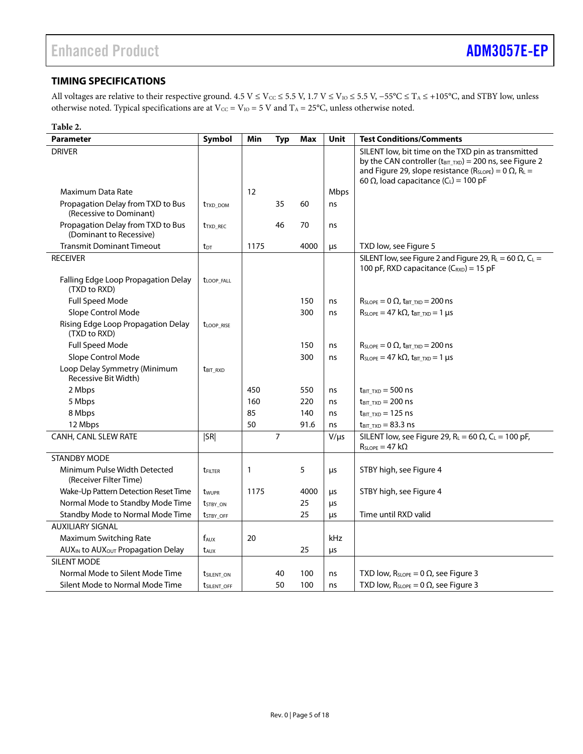### <span id="page-4-0"></span>**TIMING SPECIFICATIONS**

All voltages are relative to their respective ground.  $4.5$  V ≤ V<sub>cc</sub> ≤ 5.5 V, 1.7 V ≤ V<sub>io</sub> ≤ 5.5 V, -55°C ≤ T<sub>A</sub> ≤ +105°C, and STBY low, unless otherwise noted. Typical specifications are at  $V_{CC} = V_{IO} = 5 V$  and  $T_A = 25°C$ , unless otherwise noted.

| Table 2.                                                     |                             |      |            |      |             |                                                                                                                                                                                                                                                                   |
|--------------------------------------------------------------|-----------------------------|------|------------|------|-------------|-------------------------------------------------------------------------------------------------------------------------------------------------------------------------------------------------------------------------------------------------------------------|
| <b>Parameter</b>                                             | Symbol                      | Min  | <b>Typ</b> | Max  | <b>Unit</b> | <b>Test Conditions/Comments</b>                                                                                                                                                                                                                                   |
| <b>DRIVER</b>                                                |                             |      |            |      |             | SILENT low, bit time on the TXD pin as transmitted<br>by the CAN controller (t <sub>BIT_TXD</sub> ) = 200 ns, see Figure 2<br>and Figure 29, slope resistance ( $R_{SLOPE}$ ) = 0 $\Omega$ , $R_L$ =<br>60 $\Omega$ , load capacitance (C <sub>L</sub> ) = 100 pF |
| Maximum Data Rate                                            |                             | 12   |            |      | Mbps        |                                                                                                                                                                                                                                                                   |
| Propagation Delay from TXD to Bus<br>(Recessive to Dominant) | <b>t</b> TXD DOM            |      | 35         | 60   | ns          |                                                                                                                                                                                                                                                                   |
| Propagation Delay from TXD to Bus<br>(Dominant to Recessive) | <b>t</b> <sub>TXD</sub> REC |      | 46         | 70   | ns          |                                                                                                                                                                                                                                                                   |
| <b>Transmit Dominant Timeout</b>                             | $t_{DT}$                    | 1175 |            | 4000 | μs          | TXD low, see Figure 5                                                                                                                                                                                                                                             |
| <b>RECEIVER</b>                                              |                             |      |            |      |             | SILENT low, see Figure 2 and Figure 29, $R_L = 60 \Omega$ , $C_L =$<br>100 pF, RXD capacitance (C <sub>RXD</sub> ) = 15 pF                                                                                                                                        |
| Falling Edge Loop Propagation Delay<br>(TXD to RXD)          | t <sub>LOOP_FALL</sub>      |      |            |      |             |                                                                                                                                                                                                                                                                   |
| Full Speed Mode                                              |                             |      |            | 150  | ns          | $R_{SLOPE} = 0 \Omega$ , $t_{BIT TXD} = 200$ ns                                                                                                                                                                                                                   |
| Slope Control Mode                                           |                             |      |            | 300  | ns          | $R_{SLOPE} = 47 k\Omega$ , t <sub>BIT TXD</sub> = 1 µs                                                                                                                                                                                                            |
| Rising Edge Loop Propagation Delay<br>(TXD to RXD)           | <b><i>LLOOP RISE</i></b>    |      |            |      |             |                                                                                                                                                                                                                                                                   |
| <b>Full Speed Mode</b>                                       |                             |      |            | 150  | ns          | $R_{\text{SLOPE}} = 0 \Omega$ , $t_{\text{BIT\_TXD}} = 200 \text{ ns}$                                                                                                                                                                                            |
| Slope Control Mode                                           |                             |      |            | 300  | ns          | $R_{SLOPE} = 47 k\Omega$ , $t_{BIT TXD} = 1 \mu s$                                                                                                                                                                                                                |
| Loop Delay Symmetry (Minimum<br>Recessive Bit Width)         | <b>t</b> bit RXD            |      |            |      |             |                                                                                                                                                                                                                                                                   |
| 2 Mbps                                                       |                             | 450  |            | 550  | ns          | $t_{\text{BIT\_TXD}} = 500 \text{ ns}$                                                                                                                                                                                                                            |
| 5 Mbps                                                       |                             | 160  |            | 220  | ns          | $t_{\text{BIT TXD}} = 200 \text{ ns}$                                                                                                                                                                                                                             |
| 8 Mbps                                                       |                             | 85   |            | 140  | ns          | $t_{\text{BIT TXD}} = 125$ ns                                                                                                                                                                                                                                     |
| 12 Mbps                                                      |                             | 50   |            | 91.6 | ns          | $t_{\text{BIT TXD}} = 83.3 \text{ ns}$                                                                                                                                                                                                                            |
| <b>CANH, CANL SLEW RATE</b>                                  | SR                          |      | 7          |      | $V/\mu s$   | SILENT low, see Figure 29, $R_L = 60 \Omega$ , $C_L = 100 pF$ ,<br>$R_{SLOPE} = 47 k\Omega$                                                                                                                                                                       |
| <b>STANDBY MODE</b>                                          |                             |      |            |      |             |                                                                                                                                                                                                                                                                   |
| Minimum Pulse Width Detected<br>(Receiver Filter Time)       | <b>tFILTER</b>              | 1    |            | 5    | μs          | STBY high, see Figure 4                                                                                                                                                                                                                                           |
| Wake-Up Pattern Detection Reset Time                         | twupr                       | 1175 |            | 4000 | μs          | STBY high, see Figure 4                                                                                                                                                                                                                                           |
| Normal Mode to Standby Mode Time                             | <b>t</b> stby on            |      |            | 25   | μs          |                                                                                                                                                                                                                                                                   |
| Standby Mode to Normal Mode Time                             | <b>t</b> stby OFF           |      |            | 25   | μs          | Time until RXD valid                                                                                                                                                                                                                                              |
| <b>AUXILIARY SIGNAL</b>                                      |                             |      |            |      |             |                                                                                                                                                                                                                                                                   |
| Maximum Switching Rate                                       | $f_{AUX}$                   | 20   |            |      | kHz         |                                                                                                                                                                                                                                                                   |
| AUX <sub>IN</sub> to AUX <sub>OUT</sub> Propagation Delay    | t <sub>AUX</sub>            |      |            | 25   | μs          |                                                                                                                                                                                                                                                                   |
| SILENT MODE                                                  |                             |      |            |      |             |                                                                                                                                                                                                                                                                   |
| Normal Mode to Silent Mode Time                              | <b><i>tsilent</i></b> on    |      | 40         | 100  | ns          | TXD low, $R_{SLOPE} = 0 \Omega$ , see Figure 3                                                                                                                                                                                                                    |
| Silent Mode to Normal Mode Time                              | <b><i>USILENT OFF</i></b>   |      | 50         | 100  | ns          | TXD low, $R_{SLOPE} = 0 \Omega$ , see Figure 3                                                                                                                                                                                                                    |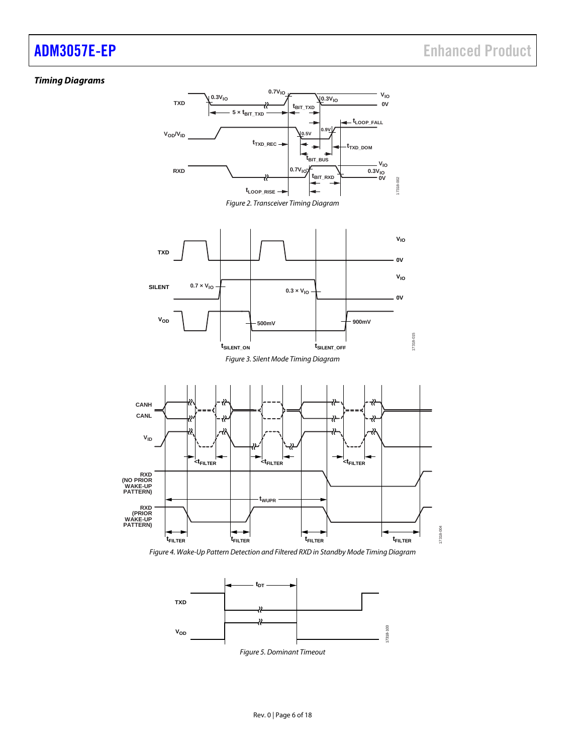### <span id="page-5-0"></span>*Timing Diagrams*



<span id="page-5-3"></span><span id="page-5-2"></span><span id="page-5-1"></span>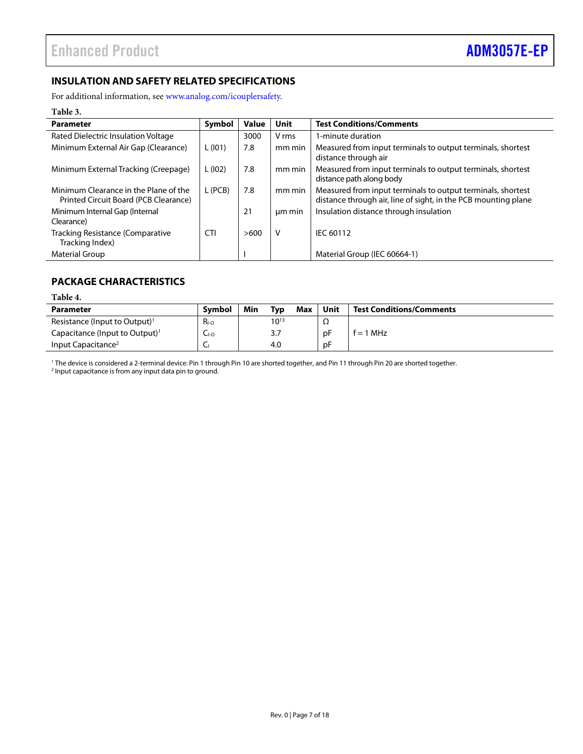### <span id="page-6-0"></span>**INSULATION AND SAFETY RELATED SPECIFICATIONS**

For additional information, see [www.analog.com/icouplersafety.](https://www.analog.com/icouplersafety?doc=ADM3057E-EP.pdf)

### **Table 3.**

| <b>Parameter</b>                                                               | Symbol     | <b>Value</b> | Unit   | <b>Test Conditions/Comments</b>                                                                                               |
|--------------------------------------------------------------------------------|------------|--------------|--------|-------------------------------------------------------------------------------------------------------------------------------|
| Rated Dielectric Insulation Voltage                                            |            | 3000         | V rms  | 1-minute duration                                                                                                             |
| Minimum External Air Gap (Clearance)                                           | L(101)     | 7.8          | mm min | Measured from input terminals to output terminals, shortest<br>distance through air                                           |
| Minimum External Tracking (Creepage)                                           | L(102)     | 7.8          | mm min | Measured from input terminals to output terminals, shortest<br>distance path along body                                       |
| Minimum Clearance in the Plane of the<br>Printed Circuit Board (PCB Clearance) | L (PCB)    | 7.8          | mm min | Measured from input terminals to output terminals, shortest<br>distance through air, line of sight, in the PCB mounting plane |
| Minimum Internal Gap (Internal<br>Clearance)                                   |            | 21           | um min | Insulation distance through insulation                                                                                        |
| <b>Tracking Resistance (Comparative</b><br>Tracking Index)                     | <b>CTI</b> | >600         | ٧      | IEC 60112                                                                                                                     |
| <b>Material Group</b>                                                          |            |              |        | Material Group (IEC 60664-1)                                                                                                  |

### <span id="page-6-1"></span>**PACKAGE CHARACTERISTICS**

### <span id="page-6-2"></span>**Table 4.**

| Parameter                                  | <b>Symbol</b> | Min | Typ       | Max | Unit | <b>Test Conditions/Comments</b> |
|--------------------------------------------|---------------|-----|-----------|-----|------|---------------------------------|
| Resistance (Input to Output) <sup>1</sup>  | $R_{I-O}$     |     | $10^{13}$ |     | 77   |                                 |
| Capacitance (Input to Output) <sup>1</sup> | ⊂⊦໐           |     | 3.7       |     | pF   | $f = 1$ MHz                     |
| Input Capacitance <sup>2</sup>             | ∼             |     | 4.0       |     | рF   |                                 |

<sup>1</sup> The device is considered a 2-terminal device: Pin 1 through Pin 10 are shorted together, and Pin 11 through Pin 20 are shorted together.

<sup>2</sup> Input capacitance is from any input data pin to ground.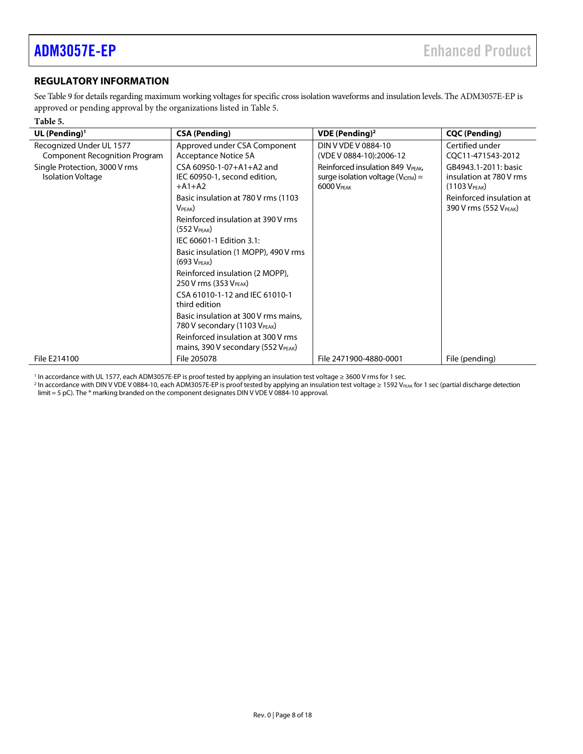### <span id="page-7-0"></span>**REGULATORY INFORMATION**

Se[e Table 9](#page-9-3) for details regarding maximum working voltages for specific cross isolation waveforms and insulation levels. The ADM3057E-EP is approved or pending approval by the organizations listed i[n Table 5.](#page-7-1) 

### <span id="page-7-1"></span>**Table 5.**

| UL (Pending) <sup>1</sup>                                        | <b>CSA (Pending)</b>                                                     | <b>VDE</b> (Pending) <sup>2</sup>                                                                 | <b>CQC (Pending)</b>                                                         |
|------------------------------------------------------------------|--------------------------------------------------------------------------|---------------------------------------------------------------------------------------------------|------------------------------------------------------------------------------|
| Recognized Under UL 1577<br><b>Component Recognition Program</b> | Approved under CSA Component<br>Acceptance Notice 5A                     | DIN V VDE V 0884-10<br>(VDE V 0884-10):2006-12                                                    | Certified under<br>CQC11-471543-2012                                         |
| Single Protection, 3000 V rms<br><b>Isolation Voltage</b>        | CSA 60950-1-07+A1+A2 and<br>IEC 60950-1, second edition,<br>$+A1+A2$     | Reinforced insulation 849 VPEAK,<br>surge isolation voltage ( $V_{\text{IOTM}}$ ) =<br>6000 VPFAK | GB4943.1-2011: basic<br>insulation at 780 V rms<br>(1103 V <sub>PEAK</sub> ) |
|                                                                  | Basic insulation at 780 V rms (1103)<br>V <sub>PEAK</sub>                |                                                                                                   | Reinforced insulation at<br>390 V rms (552 VPEAK)                            |
|                                                                  | Reinforced insulation at 390 V rms<br>(552 V <sub>PEAK</sub> )           |                                                                                                   |                                                                              |
|                                                                  | IEC 60601-1 Edition 3.1:                                                 |                                                                                                   |                                                                              |
|                                                                  | Basic insulation (1 MOPP), 490 V rms<br>(693 V <sub>PEAK</sub> )         |                                                                                                   |                                                                              |
|                                                                  | Reinforced insulation (2 MOPP),<br>250 V rms (353 V <sub>PEAK</sub> )    |                                                                                                   |                                                                              |
|                                                                  | CSA 61010-1-12 and IEC 61010-1<br>third edition                          |                                                                                                   |                                                                              |
|                                                                  | Basic insulation at 300 V rms mains,<br>780 V secondary (1103 VPEAK)     |                                                                                                   |                                                                              |
|                                                                  | Reinforced insulation at 300 V rms<br>mains, 390 V secondary (552 VPEAK) |                                                                                                   |                                                                              |
| File E214100                                                     | File 205078                                                              | File 2471900-4880-0001                                                                            | File (pending)                                                               |

<sup>1</sup> In accordance with UL 1577, each ADM3057E-EP is proof tested by applying an insulation test voltage ≥ 3600 V rms for 1 sec.

<sup>2</sup> In accordance with DIN V VDE V 0884-10, each ADM3057E-EP is proof tested by applying an insulation test voltage ≥ 1592 VPEAK for 1 sec (partial discharge detection limit = 5 pC). The \* marking branded on the component designates DIN V VDE V 0884-10 approval.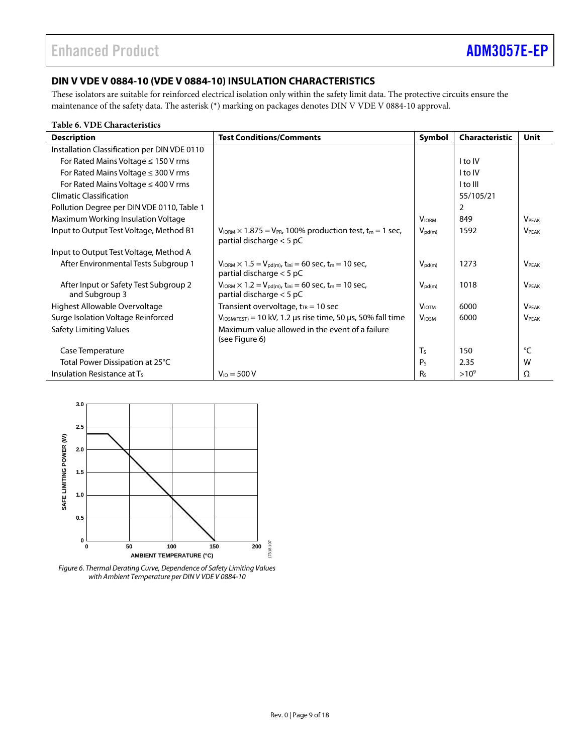### <span id="page-8-0"></span>**DIN V VDE V 0884-10 (VDE V 0884-10) INSULATION CHARACTERISTICS**

These isolators are suitable for reinforced electrical isolation only within the safety limit data. The protective circuits ensure the maintenance of the safety data. The asterisk (\*) marking on packages denotes DIN V VDE V 0884-10 approval.

### **Table 6. VDE Characteristics**

| <b>Description</b>                                      | <b>Test Conditions/Comments</b>                                                                                                     | Symbol                   | <b>Characteristic</b> | Unit                     |
|---------------------------------------------------------|-------------------------------------------------------------------------------------------------------------------------------------|--------------------------|-----------------------|--------------------------|
| Installation Classification per DIN VDE 0110            |                                                                                                                                     |                          |                       |                          |
| For Rated Mains Voltage $\leq 150$ V rms                |                                                                                                                                     |                          | I to IV               |                          |
| For Rated Mains Voltage $\leq$ 300 V rms                |                                                                                                                                     |                          | I to IV               |                          |
| For Rated Mains Voltage $\leq$ 400 V rms                |                                                                                                                                     |                          | I to III              |                          |
| <b>Climatic Classification</b>                          |                                                                                                                                     |                          | 55/105/21             |                          |
| Pollution Degree per DIN VDE 0110, Table 1              |                                                                                                                                     |                          | 2                     |                          |
| Maximum Working Insulation Voltage                      |                                                                                                                                     | <b>VIORM</b>             | 849                   | <b>VPEAK</b>             |
| Input to Output Test Voltage, Method B1                 | $V_{\text{IORM}} \times 1.875 = V_{\text{PR}}$ , 100% production test, t <sub>m</sub> = 1 sec,<br>partial discharge $<$ 5 pC        | $V_{\text{pd}(m)}$       | 1592                  | <b>VPEAK</b>             |
| Input to Output Test Voltage, Method A                  |                                                                                                                                     |                          |                       |                          |
| After Environmental Tests Subgroup 1                    | $V_{\text{IORM}} \times 1.5 = V_{\text{pd(m)}}$ , t <sub>ini</sub> = 60 sec, t <sub>m</sub> = 10 sec,<br>partial discharge < 5 pC   | $V_{\text{pd}(m)}$       | 1273                  | <b>VPEAK</b>             |
| After Input or Safety Test Subgroup 2<br>and Subgroup 3 | $V_{\text{IORM}} \times 1.2 = V_{\text{pd}(m)}$ , t <sub>ini</sub> = 60 sec, t <sub>m</sub> = 10 sec,<br>partial discharge $<$ 5 pC | $V_{\text{pd}(m)}$       | 1018                  | <b>VPEAK</b>             |
| Highest Allowable Overvoltage                           | Transient overvoltage, $t_{TR}$ = 10 sec                                                                                            | <b>VIOTM</b>             | 6000                  | <b>VPEAK</b>             |
| Surge Isolation Voltage Reinforced                      | $V_{\text{IOSM(TEST)}}$ = 10 kV, 1.2 µs rise time, 50 µs, 50% fall time                                                             | <b>V</b> <sub>IOSM</sub> | 6000                  | <b>V</b> <sub>PEAK</sub> |
| Safety Limiting Values                                  | Maximum value allowed in the event of a failure<br>(see Figure 6)                                                                   |                          |                       |                          |
| Case Temperature                                        |                                                                                                                                     | $T_S$                    | 150                   | °C                       |
| Total Power Dissipation at 25°C                         |                                                                                                                                     | P <sub>S</sub>           | 2.35                  | w                        |
| Insulation Resistance at T <sub>s</sub>                 | $V_{10} = 500 V$                                                                                                                    | Rs.                      | $>10^{9}$             | Ω                        |



<span id="page-8-1"></span>*Figure 6. Thermal Derating Curve, Dependence of Safety Limiting Values with Ambient Temperature per DIN V VDE V 0884-10*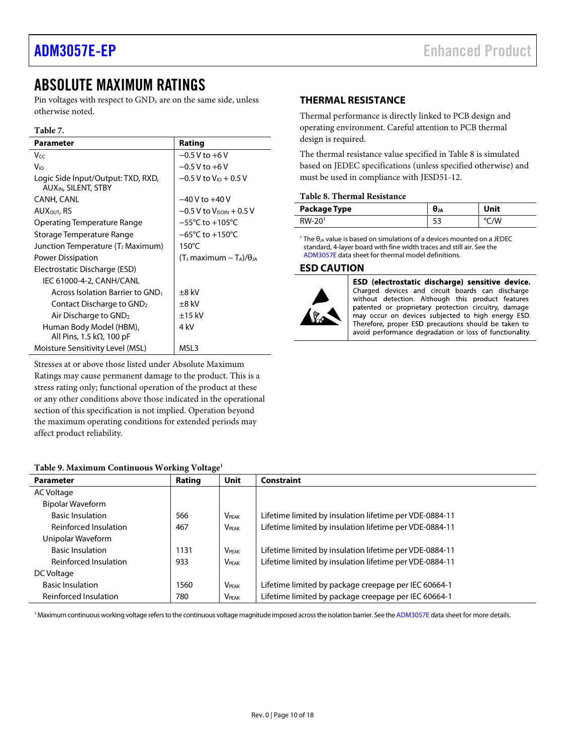### <span id="page-9-0"></span>ABSOLUTE MAXIMUM RATINGS

Pin voltages with respect to  $GND<sub>x</sub>$  are on the same side, unless otherwise noted.

### **Table 7.**

| <b>Parameter</b>                                                       | Rating                                  |
|------------------------------------------------------------------------|-----------------------------------------|
| Vcc                                                                    | $-0.5$ V to $+6$ V                      |
| V <sub>IO</sub>                                                        | $-0.5$ V to $+6$ V                      |
| Logic Side Input/Output: TXD, RXD,<br>AUX <sub>IN</sub> , SILENT, STBY | $-0.5$ V to V <sub>i0</sub> + 0.5 V     |
| CANH, CANL                                                             | $-40V$ to $+40V$                        |
| AUX <sub>OUT</sub> , RS                                                | $-0.5$ V to V <sub>ISOIN</sub> $+0.5$ V |
| Operating Temperature Range                                            | $-55^{\circ}$ C to $+105^{\circ}$ C     |
| Storage Temperature Range                                              | $-65^{\circ}$ C to $+150^{\circ}$ C     |
| Junction Temperature (T <sub>J</sub> Maximum)                          | $150^{\circ}$ C                         |
| Power Dissipation                                                      | (T) maximum $-T_A$ )/ $\theta_{JA}$     |
| Electrostatic Discharge (ESD)                                          |                                         |
| IEC 61000-4-2, CANH/CANL                                               |                                         |
| Across Isolation Barrier to GND <sub>1</sub>                           | $\pm 8$ kV                              |
| Contact Discharge to GND <sub>2</sub>                                  | $\pm 8$ kV                              |
| Air Discharge to GND <sub>2</sub>                                      | $±15$ kV                                |
| Human Body Model (HBM),<br>All Pins, 1.5 k $\Omega$ , 100 pF           | 4 kV                                    |
| Moisture Sensitivity Level (MSL)                                       | MSL3                                    |

Stresses at or above those listed under Absolute Maximum Ratings may cause permanent damage to the product. This is a stress rating only; functional operation of the product at these or any other conditions above those indicated in the operational section of this specification is not implied. Operation beyond the maximum operating conditions for extended periods may affect product reliability.

### <span id="page-9-3"></span>**Table 9. Maximum Continuous Working Voltage1**

### **Parameter Rating**  $\vert$  Unit  $\vert$  Constraint AC Voltage Bipolar Waveform Basic Insulation 566 VPEAK Lifetime limited by insulation lifetime per VDE-0884-11 Reinforced Insulation  $467$  V<sub>PEAK</sub> Lifetime limited by insulation lifetime per VDE-0884-11 Unipolar Waveform Basic Insulation 1131 |  $V_{PEAK}$  Lifetime limited by insulation lifetime per VDE-0884-11 Reinforced Insulation  $\vert$  933  $\vert$  V<sub>PEAK</sub> Lifetime limited by insulation lifetime per VDE-0884-11 DC Voltage Basic Insulation 1560 | V<sub>PEAK</sub> | Lifetime limited by package creepage per IEC 60664-1 Reinforced Insulation  $\begin{vmatrix} 780 \end{vmatrix}$  V<sub>PEAK</sub> Lifetime limited by package creepage per IEC 60664-1

<sup>1</sup> Maximum continuous working voltage refers to the continuous voltage magnitude imposed across the isolation barrier. See the ADM[3057E](https://www.analog.com/ADM3057E?doc=ADM3057E-EP.pdf) data sheet for more details.

### <span id="page-9-1"></span>**THERMAL RESISTANCE**

Thermal performance is directly linked to PCB design and operating environment. Careful attention to PCB thermal design is required.

The thermal resistance value specified i[n Table 8](#page-9-4) is simulated based on JEDEC specifications (unless specified otherwise) and must be used in compliance with JESD51-12.

### <span id="page-9-4"></span>**Table 8. Thermal Resistance**

| Package Type | UJA | Unit |
|--------------|-----|------|
| RW-20        |     |      |

<sup>1</sup> The  $\theta_{JA}$  value is based on simulations of a devices mounted on a JEDEC standard, 4-layer board with fine width traces and still air. See the ADM[3057E](https://www.analog.com/ADM3057E?doc=ADM3057E-EP.pdf) data sheet for thermal model definitions.

### <span id="page-9-2"></span>**ESD CAUTION**



ESD (electrostatic discharge) sensitive device. Charged devices and circuit boards can discharge without detection. Although this product features patented or proprietary protection circuitry, damage may occur on devices subjected to high energy ESD. Therefore, proper ESD precautions should be taken to avoid performance degradation or loss of functionality.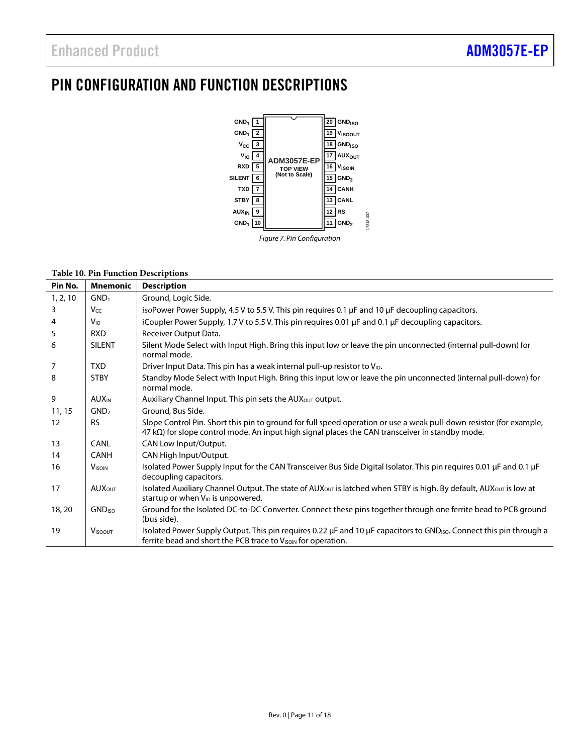## <span id="page-10-0"></span>PIN CONFIGURATION AND FUNCTION DESCRIPTIONS



### **Table 10. Pin Function Descriptions**

| Pin No.        | <b>Mnemonic</b>            | <b>Description</b>                                                                                                                                                                                                                |
|----------------|----------------------------|-----------------------------------------------------------------------------------------------------------------------------------------------------------------------------------------------------------------------------------|
| 1, 2, 10       | GND <sub>1</sub>           | Ground, Logic Side.                                                                                                                                                                                                               |
| 3              | Vcc                        | is oPower Power Supply, 4.5 V to 5.5 V. This pin requires 0.1 $\mu$ F and 10 $\mu$ F decoupling capacitors.                                                                                                                       |
| $\overline{4}$ | $V_{\text{IO}}$            | iCoupler Power Supply, 1.7 V to 5.5 V. This pin requires 0.01 µF and 0.1 µF decoupling capacitors.                                                                                                                                |
| 5              | <b>RXD</b>                 | Receiver Output Data.                                                                                                                                                                                                             |
| 6              | <b>SILENT</b>              | Silent Mode Select with Input High. Bring this input low or leave the pin unconnected (internal pull-down) for<br>normal mode.                                                                                                    |
| $\overline{7}$ | TXD.                       | Driver Input Data. This pin has a weak internal pull-up resistor to $V_{10}$ .                                                                                                                                                    |
| 8              | <b>STBY</b>                | Standby Mode Select with Input High. Bring this input low or leave the pin unconnected (internal pull-down) for<br>normal mode.                                                                                                   |
| 9              | <b>AUX</b> <sub>IN</sub>   | Auxiliary Channel Input. This pin sets the AUX <sub>OUT</sub> output.                                                                                                                                                             |
| 11, 15         | GND <sub>2</sub>           | Ground, Bus Side.                                                                                                                                                                                                                 |
| 12             | <b>RS</b>                  | Slope Control Pin. Short this pin to ground for full speed operation or use a weak pull-down resistor (for example,<br>$47$ k $\Omega$ ) for slope control mode. An input high signal places the CAN transceiver in standby mode. |
| 13             | <b>CANL</b>                | CAN Low Input/Output.                                                                                                                                                                                                             |
| 14             | <b>CANH</b>                | CAN High Input/Output.                                                                                                                                                                                                            |
| 16             | <b>VISOIN</b>              | Isolated Power Supply Input for the CAN Transceiver Bus Side Digital Isolator. This pin requires 0.01 µF and 0.1 µF<br>decoupling capacitors.                                                                                     |
| 17             | <b>AUX</b> <sub>OUT</sub>  | Isolated Auxiliary Channel Output. The state of AUX <sub>OUT</sub> is latched when STBY is high. By default, AUX <sub>OUT</sub> is low at<br>startup or when V <sub>IO</sub> is unpowered.                                        |
| 18, 20         | <b>GND<sub>ISO</sub></b>   | Ground for the Isolated DC-to-DC Converter. Connect these pins together through one ferrite bead to PCB ground<br>(bus side).                                                                                                     |
| 19             | <b>V</b> <sub>ISOOUT</sub> | Isolated Power Supply Output. This pin requires 0.22 µF and 10 µF capacitors to GND <sub>ISO</sub> . Connect this pin through a<br>ferrite bead and short the PCB trace to V <sub>ISOIN</sub> for operation.                      |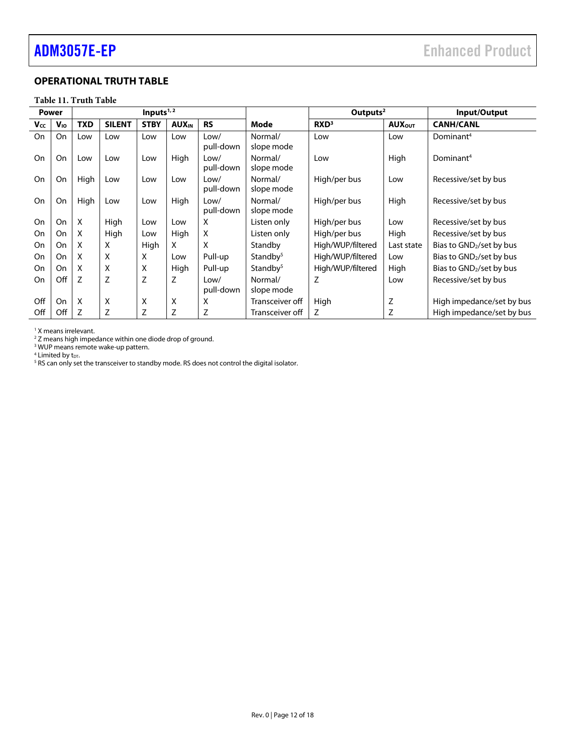### <span id="page-11-0"></span>**OPERATIONAL TRUTH TABLE**

### **Table 11. Truth Table**

| Power     |           | Inputs $1,2$ |               |             |                          |                   |                       | Outputs <sup>2</sup> |                           | Input/Output              |
|-----------|-----------|--------------|---------------|-------------|--------------------------|-------------------|-----------------------|----------------------|---------------------------|---------------------------|
| Vcc       | $V_{10}$  | <b>TXD</b>   | <b>SILENT</b> | <b>STBY</b> | <b>AUX</b> <sub>IN</sub> | <b>RS</b>         | Mode                  | RXD <sup>3</sup>     | <b>AUX</b> <sub>OUT</sub> | <b>CANH/CANL</b>          |
| <b>On</b> | On        | Low          | Low           | Low         | Low                      | Low/<br>pull-down | Normal/<br>slope mode | Low                  | Low                       | Dominant <sup>4</sup>     |
| On        | On        | Low          | Low           | Low         | High                     | Low/<br>pull-down | Normal/<br>slope mode | Low                  | High                      | Dominant <sup>4</sup>     |
| On        | On        | High         | Low           | Low         | Low                      | Low/<br>pull-down | Normal/<br>slope mode | High/per bus         | Low                       | Recessive/set by bus      |
| On        | On        | High         | Low           | Low         | High                     | Low/<br>pull-down | Normal/<br>slope mode | High/per bus         | High                      | Recessive/set by bus      |
| On        | <b>On</b> | X            | High          | Low         | Low                      | X                 | Listen only           | High/per bus         | Low                       | Recessive/set by bus      |
| On        | On        | X            | High          | Low         | High                     | X                 | Listen only           | High/per bus         | High                      | Recessive/set by bus      |
| On        | On        | X            | X             | High        | X                        | X                 | Standby               | High/WUP/filtered    | Last state                | Bias to GND2/set by bus   |
| On        | On        | X            | X             | X           | Low                      | Pull-up           | Standby <sup>5</sup>  | High/WUP/filtered    | Low                       | Bias to GND2/set by bus   |
| On        | On        | X            | X             | X           | High                     | Pull-up           | Standby $5$           | High/WUP/filtered    | High                      | Bias to GND2/set by bus   |
| On        | Off       | Z            | Z             | Z           | Z                        | Low/<br>pull-down | Normal/<br>slope mode | Z                    | Low                       | Recessive/set by bus      |
| Off       | On        | X            | X             | X           | Χ                        | X                 | Transceiver off       | High                 | Z                         | High impedance/set by bus |
| Off       | Off       | Z            | Z             | Z           | Z                        | Ζ                 | Transceiver off       | Z                    | Z                         | High impedance/set by bus |

<sup>1</sup> X means irrelevant.

<sup>2</sup> Z means high impedance within one diode drop of ground.

<sup>3</sup> WUP means remote wake-up pattern.

<sup>4</sup> Limited by t<sub>DT</sub>.<br><sup>5</sup> RS can only set the transceiver to standby mode. RS does not control the digital isolator.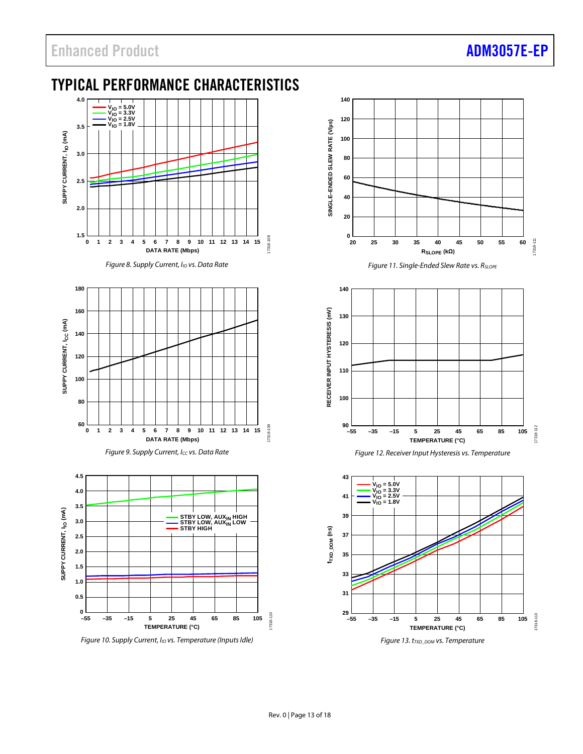## <span id="page-12-0"></span>TYPICAL PERFORMANCE CHARACTERISTICS



*Figure 8. Supply Current, I<sub>IO</sub> vs. Data Rate* 







*Figure 10. Supply Current, I<sub>IO</sub> vs. Temperature (Inputs Idle)* 







*Figure 13. tTXD\_DOM vs. Temperature*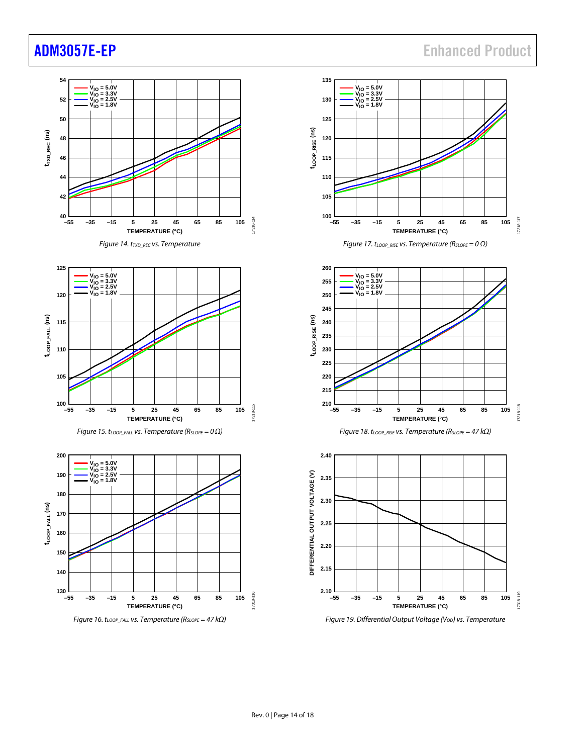## [ADM3057E-EP](https://www.analog.com/ADM3057E?doc=ADM3057E-EP.pdf) Enhanced Product

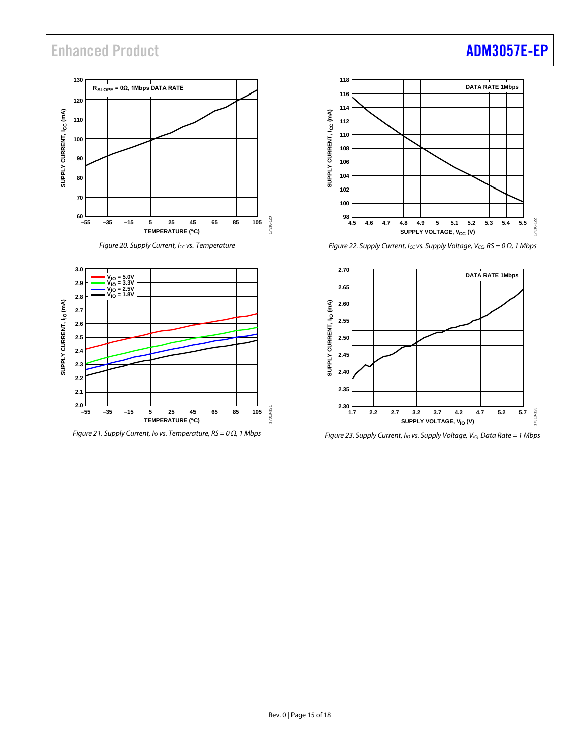## Enhanced Product **[ADM3057E-EP](https://www.analog.com/ADM3057E?doc=ADM3057E-EP.pdf)**

### **130 RSLOPE = 0Ω, 1Mbps DATA RATE 120** SUPPLY CURRENT, I<sub>CC</sub> (mA) **SUPPLY CURRENT, ICC (mA) 110 100 90 80 70** ــا 60<br>55– 17318-120 17318-120 **–55 –35 –15 5 25 45 65 85 105 TEMPERATURE (°C)**





*Figure 21. Supply Current, IIO vs. Temperature, RS = 0 Ω, 1 Mbps*



*Figure 22. Supply Current, Icc vs. Supply Voltage, Vcc, RS* = 0 Ω, 1 Mbps



*Figure 23. Supply Current, I<sub>IO</sub> vs. Supply Voltage, V<sub>IO</sub>, Data Rate = 1 Mbps*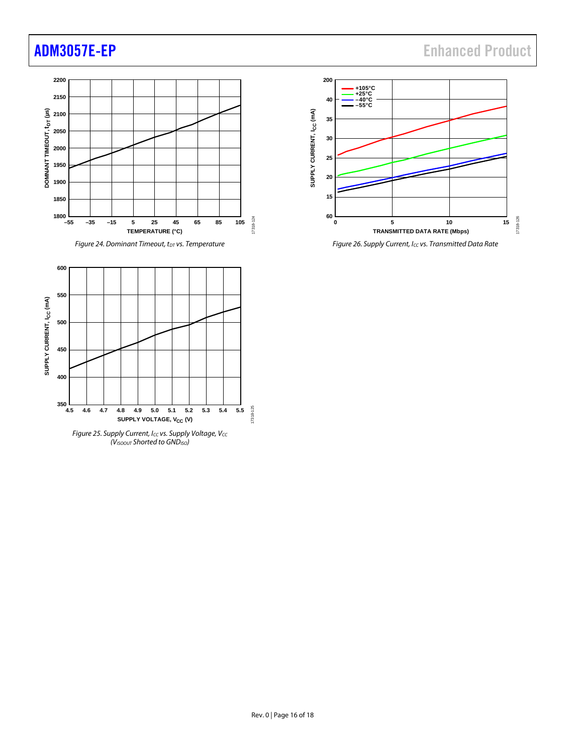



*Figure 25. Supply Current, Icc vs. Supply Voltage, Vcc (VISOOUT Shorted to GNDISO)*



*Figure 26. Supply Current, ICC vs. Transmitted Data Rate*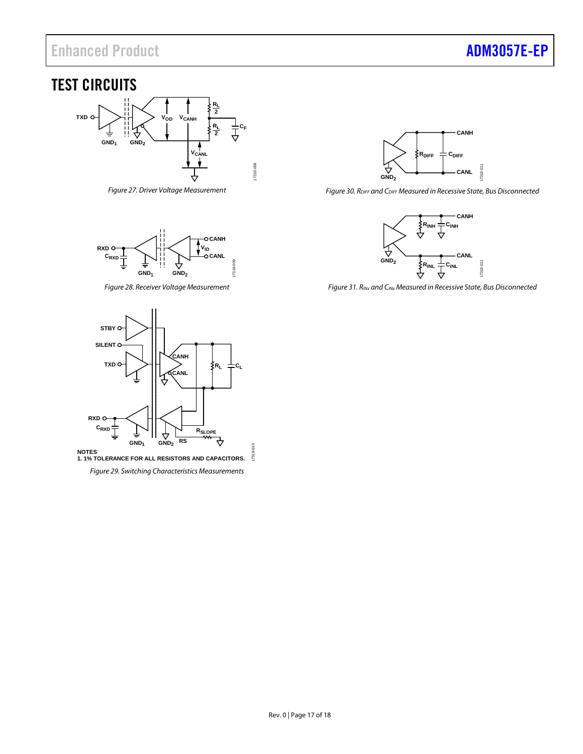## Enhanced Product **[ADM3057E-EP](https://www.analog.com/ADM3057E?doc=ADM3057E-EP.pdf)**

### <span id="page-16-0"></span>TEST CIRCUITS



<span id="page-16-1"></span>*Figure 27. Driver Voltage Measurement*



*Figure 28. Receiver Voltage Measurement*



*Figure 30. RDIFF and CDIFF Measured in Recessive State, Bus Disconnected*



*Figure 31. RINx and CINx Measured in Recessive State, Bus Disconnected*

<span id="page-16-2"></span>

<span id="page-16-3"></span>**NOTES 1. 1% TOLERANCE FOR ALL RESISTORS AND CAPACITORS.** 17318

17318-010

*Figure 29. Switching Characteristics Measurements*